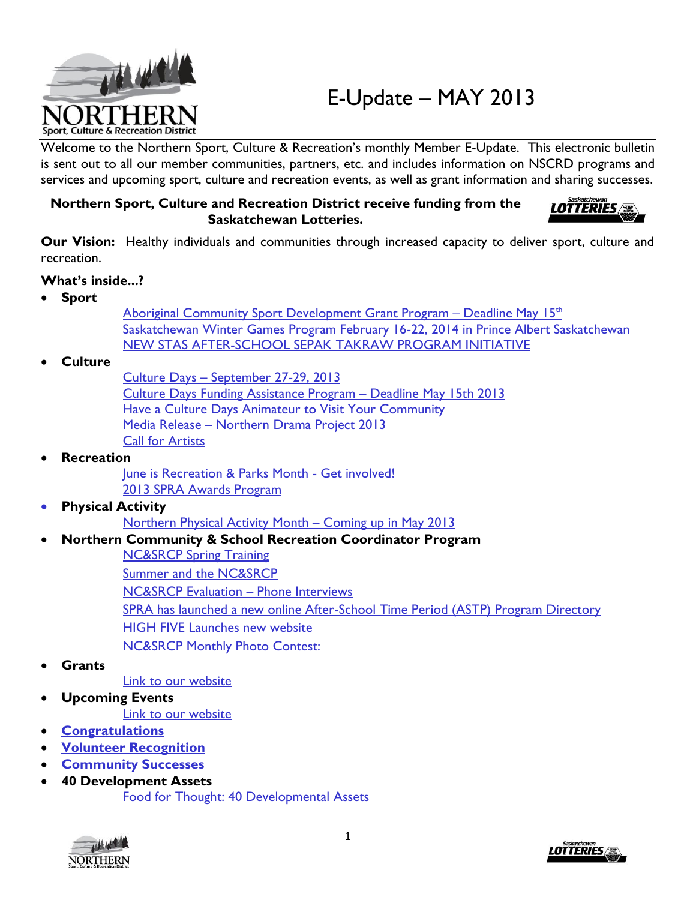

Welcome to the Northern Sport, Culture & Recreation's monthly Member E-Update. This electronic bulletin is sent out to all our member communities, partners, etc. and includes information on NSCRD programs and services and upcoming sport, culture and recreation events, as well as grant information and sharing successes.

#### **Northern Sport, Culture and Recreation District receive funding from the Saskatchewan Lotteries.**



**Our Vision:** Healthy individuals and communities through increased capacity to deliver sport, culture and recreation.

#### **What's inside...?**

**Sport**

[Aboriginal Community Sport Development Grant Program](#page-1-0) – Deadline May 15<sup>th</sup> [Saskatchewan Winter Games Program February 16-22, 2014 in Prince Albert Saskatchewan](#page-1-1) [NEW STAS AFTER-SCHOOL SEPAK TAKRAW PROGRAM INITIATIVE](#page-1-2)

#### **Culture**

Culture Days – [September 27-29, 2013](#page-1-3) [Culture Days Funding Assistance Program](#page-1-4) – Deadline May 15th 2013 [Have a Culture Days Animateur to Visit Your Community](#page-0-0) Media Release – [Northern Drama Project 2013](#page-2-0) [Call for Artists](#page-2-1)

#### <span id="page-0-0"></span>**Recreation**

[June is Recreation & Parks Month -](#page-2-2) Get involved! [2013 SPRA Awards Program](#page-2-3)

#### **Physical Activit[y](#page-3-0)**

[Northern Physical Activity Month](#page-3-0) – Coming up in May 2013

#### **Northern Community & School Recreation Coordinator Program**

[NC&SRCP Spring Training](#page-3-1) [Summer and the NC&SRCP](#page-3-2) [NC&SRCP Evaluation](#page-3-3) – Phone Interviews [SPRA has launched a new online After-School Time Period \(ASTP\) Program Directory](#page-4-0) [HIGH FIVE Launches new website](#page-4-1) [NC&SRCP Monthly Photo Contest:](#page-4-2)

**Grants** 

### [Link to our](#page-4-3) website

**Upcoming Events**

[Link to our website](#page-4-4)

- **[Congratulations](#page-4-5)**
- **[Volunteer Recognition](#page-5-0)**
- **[Community Successes](#page-5-1)**
- **40 Development Assets** [Food for Thought: 40 Developmental Assets](#page-5-2)



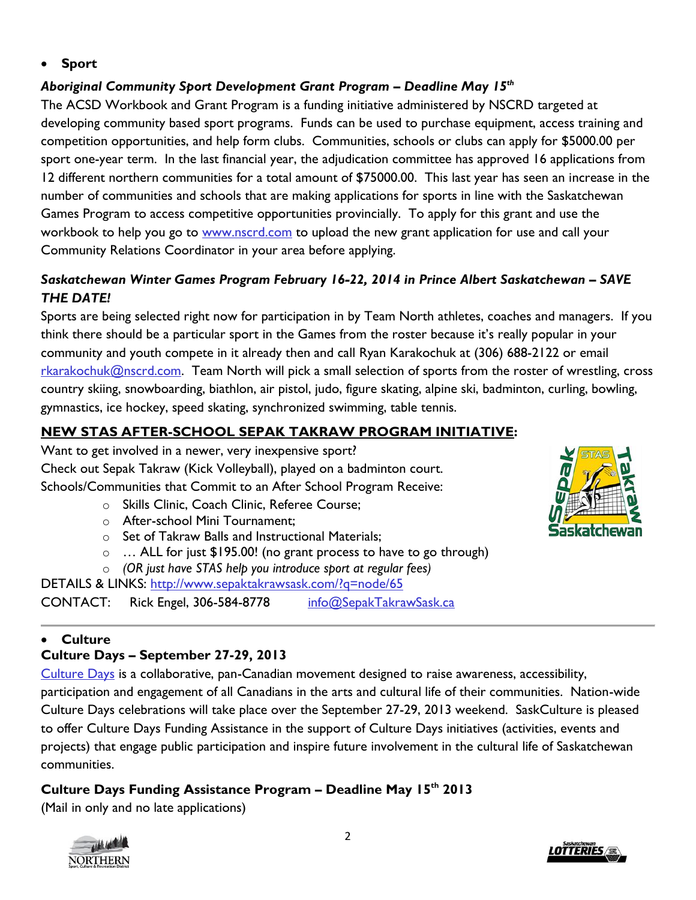**Sport**

## <span id="page-1-0"></span>*Aboriginal Community Sport Development Grant Program – Deadline May 15th*

The ACSD Workbook and Grant Program is a funding initiative administered by NSCRD targeted at developing community based sport programs. Funds can be used to purchase equipment, access training and competition opportunities, and help form clubs. Communities, schools or clubs can apply for \$5000.00 per sport one-year term. In the last financial year, the adjudication committee has approved 16 applications from 12 different northern communities for a total amount of \$75000.00. This last year has seen an increase in the number of communities and schools that are making applications for sports in line with the Saskatchewan Games Program to access competitive opportunities provincially. To apply for this grant and use the workbook to help you go to [www.nscrd.com](http://www.nscrd.com/programss/sport-programs/aboriginal-community-sport-development-toolkit.html) to upload the new grant application for use and call your Community Relations Coordinator in your area before applying.

## <span id="page-1-1"></span>*Saskatchewan Winter Games Program February 16-22, 2014 in Prince Albert Saskatchewan – SAVE THE DATE!*

Sports are being selected right now for participation in by Team North athletes, coaches and managers. If you think there should be a particular sport in the Games from the roster because it's really popular in your community and youth compete in it already then and call Ryan Karakochuk at (306) 688-2122 or email [rkarakochuk@nscrd.com.](mailto:rkarakochuk@nscrd.com) Team North will pick a small selection of sports from the roster of wrestling, cross country skiing, snowboarding, biathlon, air pistol, judo, figure skating, alpine ski, badminton, curling, bowling, gymnastics, ice hockey, speed skating, synchronized swimming, table tennis.

## <span id="page-1-2"></span>**NEW STAS AFTER-SCHOOL SEPAK TAKRAW PROGRAM INITIATIVE:**

Want to get involved in a newer, very inexpensive sport? Check out Sepak Takraw (Kick Volleyball), played on a badminton court. Schools/Communities that Commit to an After School Program Receive:

- o Skills Clinic, Coach Clinic, Referee Course;
- o After-school Mini Tournament;
- o Set of Takraw Balls and Instructional Materials;
- o … ALL for just \$195.00! (no grant process to have to go through)
- o *(OR just have STAS help you introduce sport at regular fees)*

DETAILS & LINKS: <http://www.sepaktakrawsask.com/?q=node/65> CONTACT: Rick Engel, 306-584-8778 [info@SepakTakrawSask.ca](mailto:info@SepakTakrawSask.ca)

# **Culture**

# <span id="page-1-3"></span>**Culture Days – September 27-29, 2013**

[Culture Days](http://www.nscrd.com/calendar/events-calendar/2013-09-27/day.html) is a collaborative, pan-Canadian movement designed to raise awareness, accessibility, participation and engagement of all Canadians in the arts and cultural life of their communities. Nation-wide Culture Days celebrations will take place over the September 27-29, 2013 weekend. SaskCulture is pleased to offer Culture Days Funding Assistance in the support of Culture Days initiatives (activities, events and projects) that engage public participation and inspire future involvement in the cultural life of Saskatchewan communities.

# <span id="page-1-4"></span>**Culture Days Funding Assistance Program – Deadline May 15th 2013**

(Mail in only and no late applications)





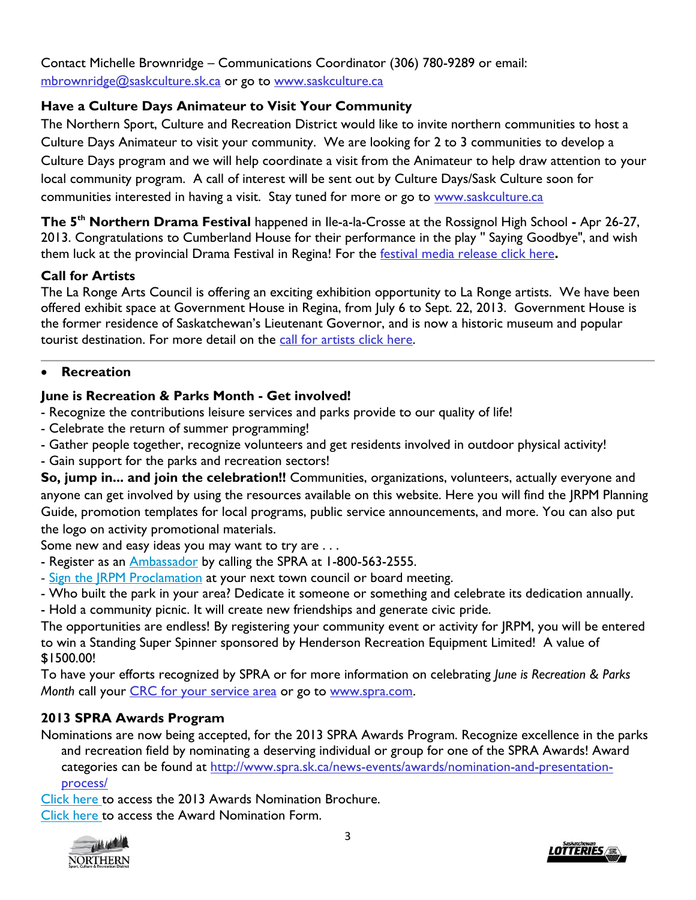Contact Michelle Brownridge – Communications Coordinator (306) 780-9289 or email: [mbrownridge@saskculture.sk.ca](mailto:mbrownridge@saskculture.sk.ca) or go to [www.saskculture.ca](http://www.saskculture.ca/)

## **Have a Culture Days Animateur to Visit Your Community**

The Northern Sport, Culture and Recreation District would like to invite northern communities to host a Culture Days Animateur to visit your community. We are looking for 2 to 3 communities to develop a Culture Days program and we will help coordinate a visit from the Animateur to help draw attention to your local community program. A call of interest will be sent out by Culture Days/Sask Culture soon for communities interested in having a visit. Stay tuned for more or go to www.saskculture.ca

<span id="page-2-0"></span>**The 5th Northern Drama Festival** happened in Ile-a-la-Crosse at the Rossignol High School **-** Apr 26-27, 2013. Congratulations to Cumberland House for their performance in the play '' Saying Goodbye", and wish them luck at the provincial Drama Festival in Regina! For the [festival media release click here](http://www.nscrd.com/uploads/files/news/26/media-release-re-northern-drama-festival---april-19-2013.pdf)**.**

#### <span id="page-2-1"></span>**Call for Artists**

The La Ronge Arts Council is offering an exciting exhibition opportunity to La Ronge artists. We have been offered exhibit space at Government House in Regina, from July 6 to Sept. 22, 2013. Government House is the former residence of Saskatchewan's Lieutenant Governor, and is now a historic museum and popular tourist destination. For more detail on the [call for artists click here.](http://www.nscrd.com/uploads/files/event/60/gov-house-call-for-artists.pdf)

#### **Recreation**

## <span id="page-2-2"></span>**June is Recreation & Parks Month - Get involved!**

- Recognize the contributions leisure services and parks provide to our quality of life!
- Celebrate the return of summer programming!
- Gather people together, recognize volunteers and get residents involved in outdoor physical activity!
- Gain support for the parks and recreation sectors!

**So, jump in... and join the celebration!!** Communities, organizations, volunteers, actually everyone and anyone can get involved by using the resources available on this website. Here you will find the JRPM Planning Guide, promotion templates for local programs, public service announcements, and more. You can also put the logo on activity promotional materials.

Some new and easy ideas you may want to try are . . .

- Register as an **[Ambassador](http://www.spra.sk.ca/news-events/june-is-recreation-parks-month/ambassador-program/)** by calling the SPRA at 1-800-563-2555.
- Sign the JRPM [Proclamation](http://www.spra.sk.ca/news-events/june-is-recreation-parks-month/proclamation-form.pdf) at your next town council or board meeting.
- Who built the park in your area? Dedicate it someone or something and celebrate its dedication annually.
- Hold a community picnic. It will create new friendships and generate civic pride.

The opportunities are endless! By registering your community event or activity for JRPM, you will be entered to win a Standing Super Spinner sponsored by Henderson Recreation Equipment Limited! A value of \$1500.00!

To have your efforts recognized by SPRA or for more information on celebrating *June is Recreation & Parks Month* call your [CRC for your service area](http://www.nscrd.com/info/contact-us.html) or go to [www.spra.com.](www.spra.com)

### <span id="page-2-3"></span>**2013 SPRA Awards Program**

Nominations are now being accepted, for the 2013 SPRA Awards Program. Recognize excellence in the parks and recreation field by nominating a deserving individual or group for one of the SPRA Awards! Award categories can be found at [http://www.spra.sk.ca/news-events/awards/nomination-and-presentation](http://www.spra.sk.ca/news-events/awards/nomination-and-presentation-process/)[process/](http://www.spra.sk.ca/news-events/awards/nomination-and-presentation-process/)

[Click](http://www.spra.sk.ca/news-events/awards/nomination-and-presentation-process/Awards%20Nomination.pdf) here to access the 2013 Awards Nomination Brochure. [Click](http://www.spra.sk.ca/news-events/awards/nomination-and-presentation-process/Nomination%20Form.pdf) here to access the Award Nomination Form.

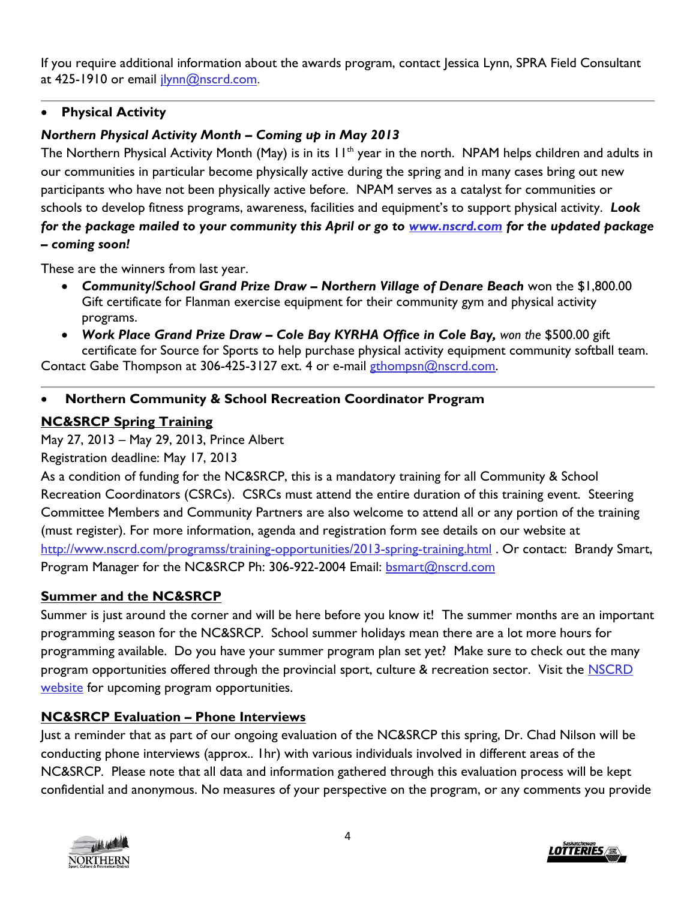If you require additional information about the awards program, contact Jessica Lynn, SPRA Field Consultant at 425-1910 or email [jlynn@nscrd.com.](mailto:jlynn@nscrd.com)

#### **Physical Activity**

## <span id="page-3-0"></span>*Northern Physical Activity Month – Coming up in May 2013*

The Northern Physical Activity Month (May) is in its 11<sup>th</sup> year in the north. NPAM helps children and adults in our communities in particular become physically active during the spring and in many cases bring out new participants who have not been physically active before. NPAM serves as a catalyst for communities or schools to develop fitness programs, awareness, facilities and equipment's to support physical activity. *Look for the package mailed to your community this April or go to [www.nscrd.com](http://www.nscrd.com/programss/physical-activity-programs/northern-physical-activity-month-npam-1.html) for the updated package – coming soon!* 

These are the winners from last year.

- *Community/School Grand Prize Draw – Northern Village of Denare Beach* won the \$1,800.00 Gift certificate for Flanman exercise equipment for their community gym and physical activity programs.
- *Work Place Grand Prize Draw – Cole Bay KYRHA Office in Cole Bay, won the* \$500.00 gift certificate for Source for Sports to help purchase physical activity equipment community softball team.

Contact Gabe Thompson at 306-425-3127 ext. 4 or e-mail [gthompsn@nscrd.com.](gthompsn@nscrd.com)

### **Northern Community & School Recreation Coordinator Program**

### <span id="page-3-1"></span>**NC&SRCP Spring Training**

May 27, 2013 – May 29, 2013, Prince Albert

Registration deadline: May 17, 2013

As a condition of funding for the NC&SRCP, this is a mandatory training for all Community & School Recreation Coordinators (CSRCs). CSRCs must attend the entire duration of this training event. Steering Committee Members and Community Partners are also welcome to attend all or any portion of the training (must register). For more information, agenda and registration form see details on our website at <http://www.nscrd.com/programss/training-opportunities/2013-spring-training.html> . Or contact: Brandy Smart, Program Manager for the NC&SRCP Ph: 306-922-2004 Email: **bsmart@nscrd.com** 

### <span id="page-3-2"></span>**Summer and the NC&SRCP**

Summer is just around the corner and will be here before you know it! The summer months are an important programming season for the NC&SRCP. School summer holidays mean there are a lot more hours for programming available. Do you have your summer program plan set yet? Make sure to check out the many program opportunities offered through the provincial sport, culture & recreation sector. Visit the **NSCRD** [website](http://www.nscrd.com/) for upcoming program opportunities.

### <span id="page-3-3"></span>**NC&SRCP Evaluation – Phone Interviews**

Just a reminder that as part of our ongoing evaluation of the NC&SRCP this spring, Dr. Chad Nilson will be conducting phone interviews (approx.. 1hr) with various individuals involved in different areas of the NC&SRCP. Please note that all data and information gathered through this evaluation process will be kept confidential and anonymous. No measures of your perspective on the program, or any comments you provide



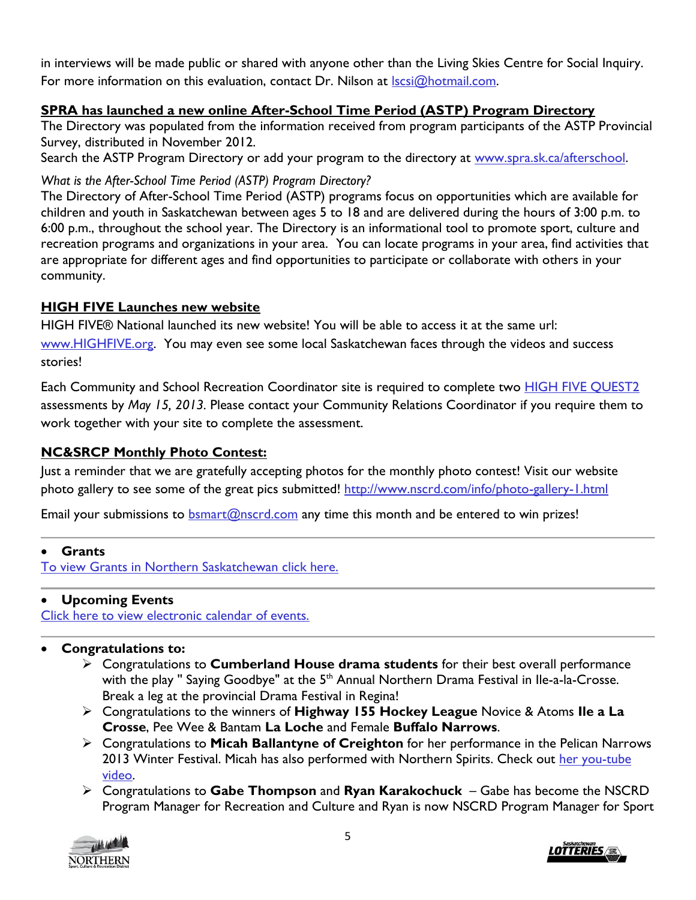in interviews will be made public or shared with anyone other than the Living Skies Centre for Social Inquiry. For more information on this evaluation, contact Dr. Nilson at Iscsi@hotmail.com.

## <span id="page-4-0"></span>**SPRA has launched a new online After-School Time Period (ASTP) Program Directory**

The Directory was populated from the information received from program participants of the ASTP Provincial Survey, distributed in November 2012.

Search the ASTP Program Directory or add your program to the directory at [www.spra.sk.ca/afterschool.](http://www.spra.sk.ca/afterschool)

### *What is the After-School Time Period (ASTP) Program Directory?*

The Directory of After-School Time Period (ASTP) programs focus on opportunities which are available for children and youth in Saskatchewan between ages 5 to 18 and are delivered during the hours of 3:00 p.m. to 6:00 p.m., throughout the school year. The Directory is an informational tool to promote sport, culture and recreation programs and organizations in your area. You can locate programs in your area, find activities that are appropriate for different ages and find opportunities to participate or collaborate with others in your community.

## <span id="page-4-1"></span>**HIGH FIVE Launches new website**

HIGH FIVE® National launched its new website! You will be able to access it at the same url: [www.HIGHFIVE.org.](http://www.highfive.org/) You may even see some local Saskatchewan faces through the videos and success stories!

Each Community and School Recreation Coordinator site is required to complete two **HIGH FIVE QUEST2** assessments by *May 15, 2013.* Please contact your Community Relations Coordinator if you require them to work together with your site to complete the assessment.

## <span id="page-4-2"></span>**NC&SRCP Monthly Photo Contest:**

Just a reminder that we are gratefully accepting photos for the monthly photo contest! Visit our website photo gallery to see some of the great pics submitted!<http://www.nscrd.com/info/photo-gallery-1.html>

Email your submissions to  $bsmart@nscrl.com$  any time this month and be entered to win prizes!

### <span id="page-4-3"></span>**Grants**

[To view Grants in Northern Saskatchewan click here.](http://www.nscrd.com/grants/grants.html) 

### <span id="page-4-4"></span>**Upcoming Events**

[Click here to view electronic calendar of events.](http://www.nscrd.com/calendar/events-calendar.html)

### <span id="page-4-5"></span>**Congratulations to:**

- Congratulations to **Cumberland House drama students** for their best overall performance with the play " Saying Goodbye" at the 5<sup>th</sup> Annual Northern Drama Festival in Ile-a-la-Crosse. Break a leg at the provincial Drama Festival in Regina!
- Congratulations to the winners of **Highway 155 Hockey League** Novice & Atoms **Ile a La Crosse**, Pee Wee & Bantam **La Loche** and Female **Buffalo Narrows**.
- Congratulations to **Micah Ballantyne of Creighton** for her performance in the Pelican Narrows 2013 Winter Festival. Micah has also performed with Northern Spirits. Check out her you-tube [video.](http://www.youtube.com/watch?v=Y8F2qAFI5S4)
- Congratulations to **Gabe Thompson** and **Ryan Karakochuck** Gabe has become the NSCRD Program Manager for Recreation and Culture and Ryan is now NSCRD Program Manager for Sport